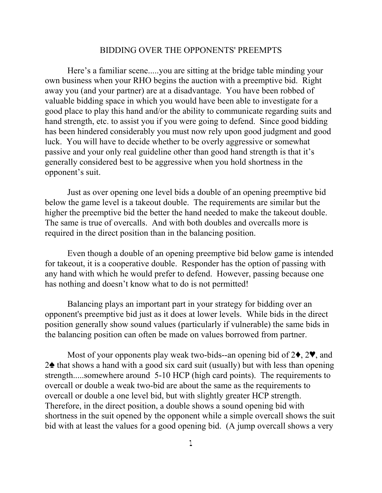## BIDDING OVER THE OPPONENTS' PREEMPTS

Here's a familiar scene.....you are sitting at the bridge table minding your own business when your RHO begins the auction with a preemptive bid. Right away you (and your partner) are at a disadvantage. You have been robbed of valuable bidding space in which you would have been able to investigate for a good place to play this hand and/or the ability to communicate regarding suits and hand strength, etc. to assist you if you were going to defend. Since good bidding has been hindered considerably you must now rely upon good judgment and good luck. You will have to decide whether to be overly aggressive or somewhat passive and your only real guideline other than good hand strength is that it's generally considered best to be aggressive when you hold shortness in the opponent's suit.

Just as over opening one level bids a double of an opening preemptive bid below the game level is a takeout double. The requirements are similar but the higher the preemptive bid the better the hand needed to make the takeout double. The same is true of overcalls. And with both doubles and overcalls more is required in the direct position than in the balancing position.

Even though a double of an opening preemptive bid below game is intended for takeout, it is a cooperative double. Responder has the option of passing with any hand with which he would prefer to defend. However, passing because one has nothing and doesn't know what to do is not permitted!

Balancing plays an important part in your strategy for bidding over an opponent's preemptive bid just as it does at lower levels. While bids in the direct position generally show sound values (particularly if vulnerable) the same bids in the balancing position can often be made on values borrowed from partner.

Most of your opponents play weak two-bids--an opening bid of  $2\bullet$ ,  $2\Psi$ , and  $2\spadesuit$  that shows a hand with a good six card suit (usually) but with less than opening strength.....somewhere around 5-10 HCP (high card points). The requirements to overcall or double a weak two-bid are about the same as the requirements to overcall or double a one level bid, but with slightly greater HCP strength. Therefore, in the direct position, a double shows a sound opening bid with shortness in the suit opened by the opponent while a simple overcall shows the suit bid with at least the values for a good opening bid. (A jump overcall shows a very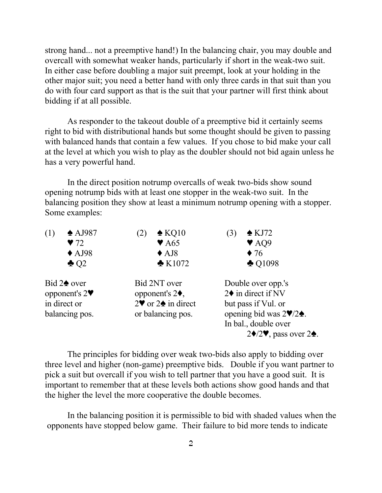strong hand... not a preemptive hand!) In the balancing chair, you may double and overcall with somewhat weaker hands, particularly if short in the weak-two suit. In either case before doubling a major suit preempt, look at your holding in the other major suit; you need a better hand with only three cards in that suit than you do with four card support as that is the suit that your partner will first think about bidding if at all possible.

As responder to the takeout double of a preemptive bid it certainly seems right to bid with distributional hands but some thought should be given to passing with balanced hands that contain a few values. If you chose to bid make your call at the level at which you wish to play as the doubler should not bid again unless he has a very powerful hand.

In the direct position notrump overcalls of weak two-bids show sound opening notrump bids with at least one stopper in the weak-two suit. In the balancing position they show at least a minimum notrump opening with a stopper. Some examples:

| $\triangle$ AJ987          | $\triangle$ KQ10<br>$\left( 2\right)$                | $\triangle$ KJ72<br>$\left(3\right)$                   |
|----------------------------|------------------------------------------------------|--------------------------------------------------------|
| $\blacktriangledown$ 72    | $\blacktriangledown$ A65                             | $\blacktriangledown$ AQ9                               |
| $\triangle$ AJ98           | $\triangle$ AJ8                                      | $\blacklozenge$ 76                                     |
| $\triangle$ Q <sub>2</sub> | $\triangle$ K1072                                    | $\triangle$ Q1098                                      |
| Bid $2\spadesuit$ over     | Bid 2NT over                                         | Double over opp.'s                                     |
| opponent's $2\Psi$         | opponent's $2\blacklozenge$ ,                        | $2\blacklozenge$ in direct if NV                       |
| in direct or               | $2\blacktriangledown$ or $2\blacktriangle$ in direct | but pass if Vul. or                                    |
| balancing pos.             | or balancing pos.                                    | opening bid was $2\Psi/2\Phi$ .                        |
|                            |                                                      | In bal., double over                                   |
|                            |                                                      | $2\blacklozenge/2\Psi$ , pass over 2 $\blacklozenge$ . |

The principles for bidding over weak two-bids also apply to bidding over three level and higher (non-game) preemptive bids. Double if you want partner to pick a suit but overcall if you wish to tell partner that you have a good suit. It is important to remember that at these levels both actions show good hands and that the higher the level the more cooperative the double becomes.

In the balancing position it is permissible to bid with shaded values when the opponents have stopped below game. Their failure to bid more tends to indicate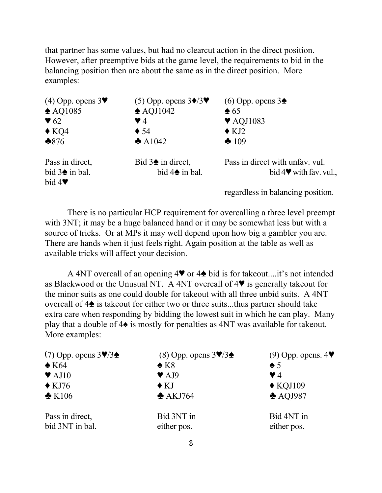that partner has some values, but had no clearcut action in the direct position. However, after preemptive bids at the game level, the requirements to bid in the balancing position then are about the same as in the direct position. More examples:

| $(4)$ Opp. opens $3\blacktriangledown$                                    | $(5)$ Opp. opens $3\blacklozenge/3\Psi$                   | $(6)$ Opp. opens 3                                             |
|---------------------------------------------------------------------------|-----------------------------------------------------------|----------------------------------------------------------------|
| $\triangle$ AQ1085                                                        | $\triangle$ AQJ1042                                       | $\triangle$ 65                                                 |
| $\blacktriangledown$ 62                                                   | $\blacktriangledown$ 4                                    | $\blacktriangledown$ AQJ1083                                   |
| $\triangle$ KQ4                                                           | $\blacklozenge$ 54                                        | $\triangle$ KJ2                                                |
| $*876$                                                                    | $\triangle$ A1042                                         | $\clubsuit 109$                                                |
| Pass in direct,<br>bid $3\spadesuit$ in bal.<br>bid $4\blacktriangledown$ | Bid $3\spadesuit$ in direct,<br>bid $4\spadesuit$ in bal. | Pass in direct with unfav. vul.<br>bid $4\Psi$ with fav. vul., |
|                                                                           |                                                           | regardless in balancing position.                              |

There is no particular HCP requirement for overcalling a three level preempt with 3NT; it may be a huge balanced hand or it may be somewhat less but with a source of tricks. Or at MPs it may well depend upon how big a gambler you are. There are hands when it just feels right. Again position at the table as well as available tricks will affect your decision.

A 4NT overcall of an opening  $4\blacktriangledown$  or  $4\blacktriangle$  bid is for takeout....it's not intended as Blackwood or the Unusual NT. A 4NT overcall of  $4\Psi$  is generally takeout for the minor suits as one could double for takeout with all three unbid suits. A 4NT overcall of  $4\spadesuit$  is takeout for either two or three suits...thus partner should take extra care when responding by bidding the lowest suit in which he can play. Many play that a double of  $4\spadesuit$  is mostly for penalties as 4NT was available for takeout. More examples:

| (7) Opp. opens $3\P/3\spadesuit$   | (8) Opp. opens $3\P/3\blacktriangle$ | $(9)$ Opp. opens. $4\blacktriangledown$ |
|------------------------------------|--------------------------------------|-----------------------------------------|
| $\triangle$ K64                    | $\triangle$ K <sub>8</sub>           | $\spadesuit$ 5                          |
| $\blacktriangledown$ AJ10          | $\blacktriangledown$ AJ9             | $\blacktriangledown$ 4                  |
| $\triangle$ KJ76                   | $\triangle$ KJ                       | $\triangle$ KQJ109                      |
| $\triangle$ K106                   | $\triangle$ AKJ764                   | $\triangle$ AQJ987                      |
| Pass in direct,<br>bid 3NT in bal. | Bid 3NT in<br>either pos.            | Bid 4NT in<br>either pos.               |